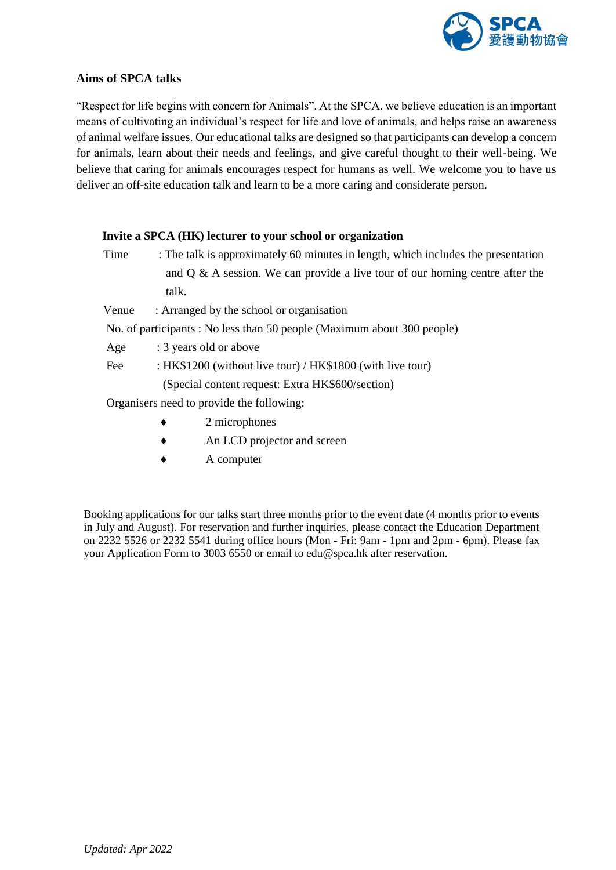

## **Aims of SPCA talks**

"Respect for life begins with concern for Animals". At the SPCA, we believe education is an important means of cultivating an individual's respect for life and love of animals, and helps raise an awareness of animal welfare issues. Our educational talks are designed so that participants can develop a concern for animals, learn about their needs and feelings, and give careful thought to their well-being. We believe that caring for animals encourages respect for humans as well. We welcome you to have us deliver an off-site education talk and learn to be a more caring and considerate person.

## **Invite a SPCA (HK) lecturer to your school or organization**

- Time : The talk is approximately 60 minutes in length, which includes the presentation and  $Q \& A$  session. We can provide a live tour of our homing centre after the talk.
- Venue : Arranged by the school or organisation

No. of participants : No less than 50 people (Maximum about 300 people)

- Age : 3 years old or above
- Fee : HK\$1200 (without live tour) / HK\$1800 (with live tour)

(Special content request: Extra HK\$600/section)

Organisers need to provide the following:

- 2 microphones
- An LCD projector and screen
- A computer

Booking applications for our talks start three months prior to the event date (4 months prior to events in July and August). For reservation and further inquiries, please contact the Education Department on 2232 5526 or 2232 5541 during office hours (Mon - Fri: 9am - 1pm and 2pm - 6pm). Please fax your Application Form to 3003 6550 or email to edu@spca.hk after reservation.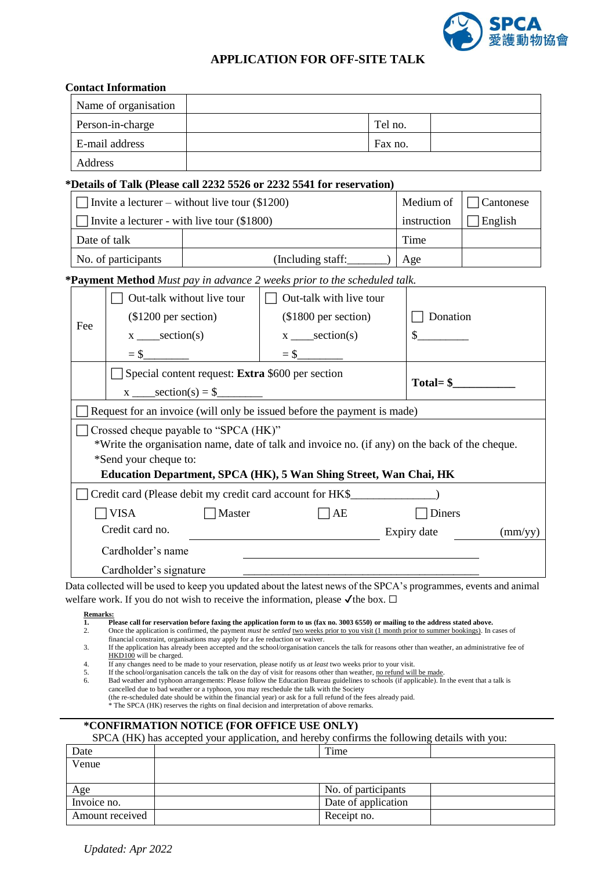

## **APPLICATION FOR OFF-SITE TALK**

|                                                                                                | <b>Contact Information</b>           |                                                                              |                                                                                                                                                                                                                                                                                                         |             |                               |  |         |
|------------------------------------------------------------------------------------------------|--------------------------------------|------------------------------------------------------------------------------|---------------------------------------------------------------------------------------------------------------------------------------------------------------------------------------------------------------------------------------------------------------------------------------------------------|-------------|-------------------------------|--|---------|
|                                                                                                | Name of organisation                 |                                                                              |                                                                                                                                                                                                                                                                                                         |             |                               |  |         |
| Person-in-charge                                                                               |                                      |                                                                              |                                                                                                                                                                                                                                                                                                         | Tel no.     |                               |  |         |
| E-mail address                                                                                 |                                      |                                                                              | Fax no.                                                                                                                                                                                                                                                                                                 |             |                               |  |         |
| Address                                                                                        |                                      |                                                                              |                                                                                                                                                                                                                                                                                                         |             |                               |  |         |
|                                                                                                |                                      |                                                                              | *Details of Talk (Please call 2232 5526 or 2232 5541 for reservation)                                                                                                                                                                                                                                   |             |                               |  |         |
|                                                                                                |                                      | Invite a lecturer – without live tour (\$1200)                               |                                                                                                                                                                                                                                                                                                         |             | Medium of<br>$\Box$ Cantonese |  |         |
| Invite a lecturer - with live tour (\$1800)                                                    |                                      |                                                                              |                                                                                                                                                                                                                                                                                                         | instruction |                               |  | English |
| Date of talk                                                                                   |                                      |                                                                              |                                                                                                                                                                                                                                                                                                         | Time        |                               |  |         |
| No. of participants                                                                            |                                      |                                                                              | ( Including staff:                                                                                                                                                                                                                                                                                      |             | Age                           |  |         |
|                                                                                                |                                      |                                                                              | *Payment Method Must pay in advance 2 weeks prior to the scheduled talk.                                                                                                                                                                                                                                |             |                               |  |         |
|                                                                                                |                                      | $\Box$ Out-talk without live tour                                            | $\Box$ Out-talk with live tour                                                                                                                                                                                                                                                                          |             |                               |  |         |
| Fee                                                                                            | $(\$1200$ per section)               |                                                                              | (\$1800 per section)                                                                                                                                                                                                                                                                                    |             | $\Box$ Donation               |  |         |
|                                                                                                | $x$ ____section(s)                   |                                                                              | $x$ ____section(s)                                                                                                                                                                                                                                                                                      |             | $\mathcal{S}$                 |  |         |
|                                                                                                |                                      |                                                                              |                                                                                                                                                                                                                                                                                                         |             |                               |  |         |
| Special content request: Extra \$600 per section                                               |                                      |                                                                              |                                                                                                                                                                                                                                                                                                         |             |                               |  |         |
|                                                                                                | $Total = $$<br>$x \_ section(s) = $$ |                                                                              |                                                                                                                                                                                                                                                                                                         |             |                               |  |         |
|                                                                                                |                                      |                                                                              | Request for an invoice (will only be issued before the payment is made)                                                                                                                                                                                                                                 |             |                               |  |         |
|                                                                                                |                                      | Crossed cheque payable to "SPCA (HK)"                                        |                                                                                                                                                                                                                                                                                                         |             |                               |  |         |
| *Write the organisation name, date of talk and invoice no. (if any) on the back of the cheque. |                                      |                                                                              |                                                                                                                                                                                                                                                                                                         |             |                               |  |         |
| *Send your cheque to:                                                                          |                                      |                                                                              |                                                                                                                                                                                                                                                                                                         |             |                               |  |         |
|                                                                                                |                                      |                                                                              | Education Department, SPCA (HK), 5 Wan Shing Street, Wan Chai, HK                                                                                                                                                                                                                                       |             |                               |  |         |
|                                                                                                |                                      |                                                                              | Credit card (Please debit my credit card account for HK\$                                                                                                                                                                                                                                               |             |                               |  |         |
| $\neg$ visa<br>Master                                                                          |                                      |                                                                              | AE                                                                                                                                                                                                                                                                                                      |             | Diners                        |  |         |
| Credit card no.<br>Expiry date<br>$\text{(mm/yy)}$                                             |                                      |                                                                              |                                                                                                                                                                                                                                                                                                         |             |                               |  |         |
|                                                                                                | Cardholder's name                    |                                                                              |                                                                                                                                                                                                                                                                                                         |             |                               |  |         |
|                                                                                                | Cardholder's signature               |                                                                              |                                                                                                                                                                                                                                                                                                         |             |                               |  |         |
|                                                                                                |                                      |                                                                              | Data collected will be used to keep you updated about the latest news of the SPCA's programmes, events and animal                                                                                                                                                                                       |             |                               |  |         |
| <b>Remarks:</b>                                                                                |                                      |                                                                              | welfare work. If you do not wish to receive the information, please $\checkmark$ the box. $\Box$                                                                                                                                                                                                        |             |                               |  |         |
| 1.<br>2.                                                                                       |                                      |                                                                              | Please call for reservation before faxing the application form to us (fax no. 3003 6550) or mailing to the address stated above.<br>Once the application is confirmed, the payment <i>must be settled</i> two weeks prior to you visit (1 month prior to summer bookings). In cases of                  |             |                               |  |         |
| 3.                                                                                             |                                      | financial constraint, organisations may apply for a fee reduction or waiver. | If the application has already been accepted and the school/organisation cancels the talk for reasons other than weather, an administrative fee of                                                                                                                                                      |             |                               |  |         |
| 4.                                                                                             | HKD100 will be charged.              |                                                                              | If any changes need to be made to your reservation, please notify us at least two weeks prior to your visit.                                                                                                                                                                                            |             |                               |  |         |
| 5.<br>6.                                                                                       |                                      |                                                                              | If the school/organisation cancels the talk on the day of visit for reasons other than weather, no refund will be made.<br>Bad weather and typhoon arrangements: Please follow the Education Bureau guidelines to schools (if applicable). In the event that a talk is                                  |             |                               |  |         |
|                                                                                                |                                      |                                                                              | cancelled due to bad weather or a typhoon, you may reschedule the talk with the Society<br>(the re-scheduled date should be within the financial year) or ask for a full refund of the fees already paid.<br>* The SPCA (HK) reserves the rights on final decision and interpretation of above remarks. |             |                               |  |         |
|                                                                                                |                                      |                                                                              | *CONFIRMATION NOTICE (FOR OFFICE USE ONLY)                                                                                                                                                                                                                                                              |             |                               |  |         |
|                                                                                                |                                      |                                                                              | SPCA (HK) has accepted your application, and hereby confirms the following details with you:                                                                                                                                                                                                            |             |                               |  |         |
| Date                                                                                           |                                      | Time                                                                         |                                                                                                                                                                                                                                                                                                         |             |                               |  |         |

| Venue           |                     |
|-----------------|---------------------|
|                 |                     |
| Age             | No. of participants |
| Invoice no.     | Date of application |
| Amount received | Receipt no.         |